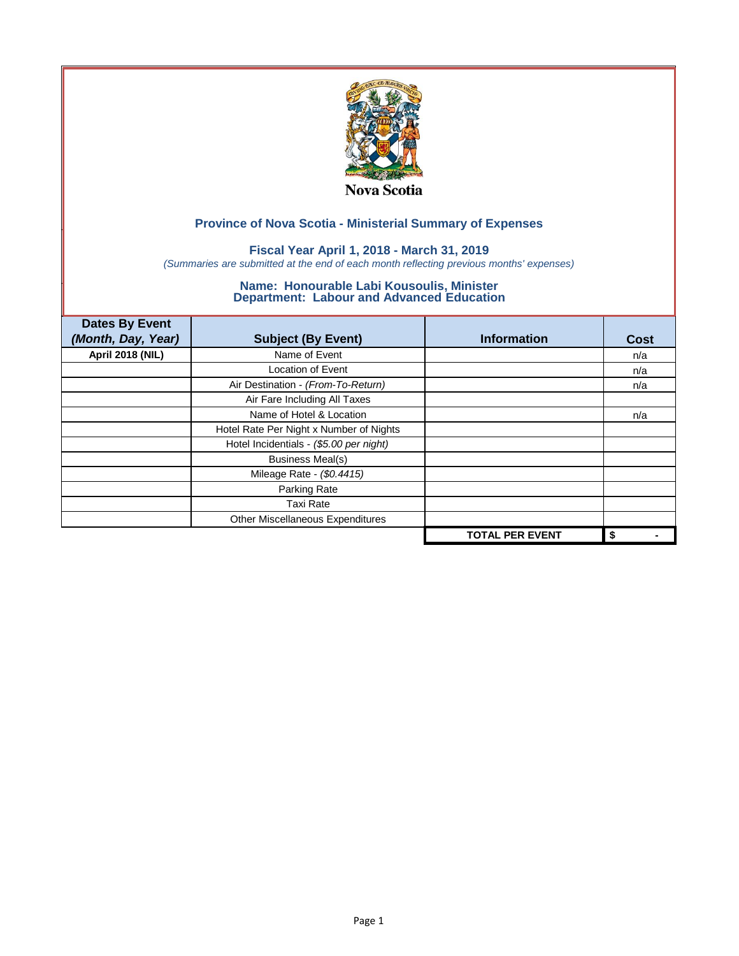

## **Fiscal Year April 1, 2018 - March 31, 2019**

*(Summaries are submitted at the end of each month reflecting previous months' expenses)*

| <b>Dates By Event</b>   |                                         |                        |      |
|-------------------------|-----------------------------------------|------------------------|------|
| (Month, Day, Year)      | <b>Subject (By Event)</b>               | <b>Information</b>     | Cost |
| <b>April 2018 (NIL)</b> | Name of Event                           |                        | n/a  |
|                         | <b>Location of Event</b>                |                        | n/a  |
|                         | Air Destination - (From-To-Return)      |                        | n/a  |
|                         | Air Fare Including All Taxes            |                        |      |
|                         | Name of Hotel & Location                |                        | n/a  |
|                         | Hotel Rate Per Night x Number of Nights |                        |      |
|                         | Hotel Incidentials - (\$5.00 per night) |                        |      |
|                         | <b>Business Meal(s)</b>                 |                        |      |
|                         | Mileage Rate - (\$0.4415)               |                        |      |
|                         | Parking Rate                            |                        |      |
|                         | <b>Taxi Rate</b>                        |                        |      |
|                         | Other Miscellaneous Expenditures        |                        |      |
|                         |                                         | <b>TOTAL PER EVENT</b> | \$   |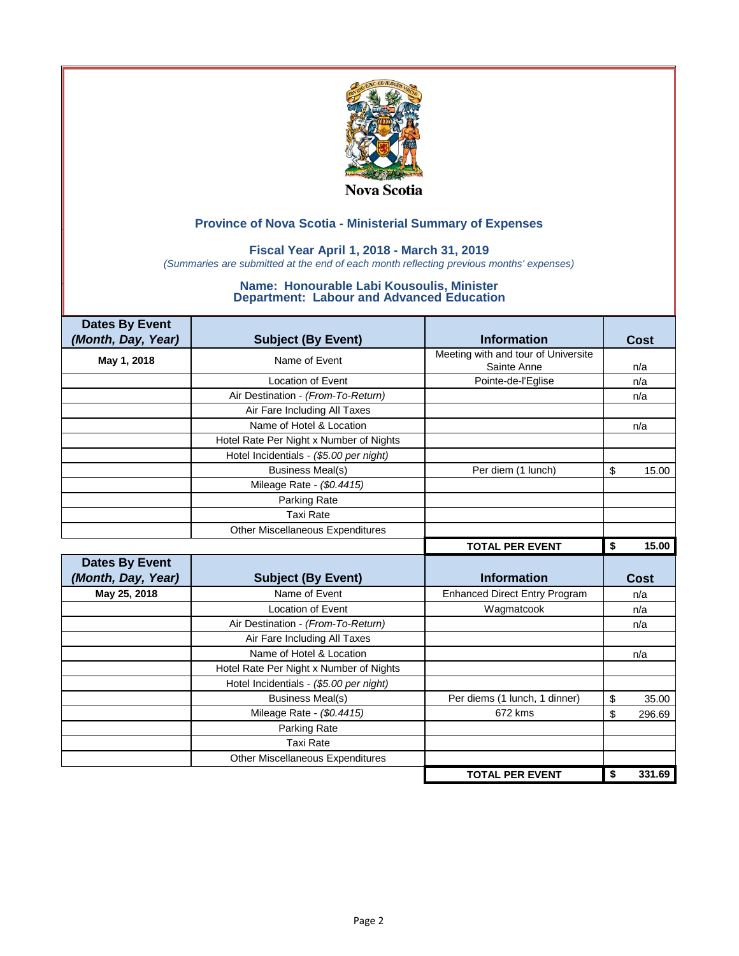

### **Fiscal Year April 1, 2018 - March 31, 2019**

*(Summaries are submitted at the end of each month reflecting previous months' expenses)*

| <b>Dates By Event</b> |                                         |                                      |              |
|-----------------------|-----------------------------------------|--------------------------------------|--------------|
| (Month, Day, Year)    | <b>Subject (By Event)</b>               | <b>Information</b>                   | <b>Cost</b>  |
| May 1, 2018           | Name of Event                           | Meeting with and tour of Universite  |              |
|                       |                                         | Sainte Anne                          | n/a          |
|                       | <b>Location of Event</b>                | Pointe-de-l'Eglise                   | n/a          |
|                       | Air Destination - (From-To-Return)      |                                      | n/a          |
|                       | Air Fare Including All Taxes            |                                      |              |
|                       | Name of Hotel & Location                |                                      | n/a          |
|                       | Hotel Rate Per Night x Number of Nights |                                      |              |
|                       | Hotel Incidentials - (\$5.00 per night) |                                      |              |
|                       | <b>Business Meal(s)</b>                 | Per diem (1 lunch)                   | \$<br>15.00  |
|                       | Mileage Rate - (\$0.4415)               |                                      |              |
|                       | Parking Rate                            |                                      |              |
|                       | <b>Taxi Rate</b>                        |                                      |              |
|                       | Other Miscellaneous Expenditures        |                                      |              |
|                       |                                         | <b>TOTAL PER EVENT</b>               | \$<br>15.00  |
|                       |                                         |                                      |              |
| <b>Dates By Event</b> |                                         |                                      |              |
| (Month, Day, Year)    | <b>Subject (By Event)</b>               | <b>Information</b>                   | <b>Cost</b>  |
| May 25, 2018          | Name of Event                           | <b>Enhanced Direct Entry Program</b> | n/a          |
|                       | <b>Location of Event</b>                | Wagmatcook                           | n/a          |
|                       | Air Destination - (From-To-Return)      |                                      | n/a          |
|                       | Air Fare Including All Taxes            |                                      |              |
|                       | Name of Hotel & Location                |                                      | n/a          |
|                       | Hotel Rate Per Night x Number of Nights |                                      |              |
|                       | Hotel Incidentials - (\$5.00 per night) |                                      |              |
|                       | <b>Business Meal(s)</b>                 | Per diems (1 lunch, 1 dinner)        | \$<br>35.00  |
|                       | Mileage Rate - (\$0.4415)               | 672 kms                              | \$<br>296.69 |
|                       | Parking Rate                            |                                      |              |
|                       | <b>Taxi Rate</b>                        |                                      |              |
|                       | Other Miscellaneous Expenditures        |                                      |              |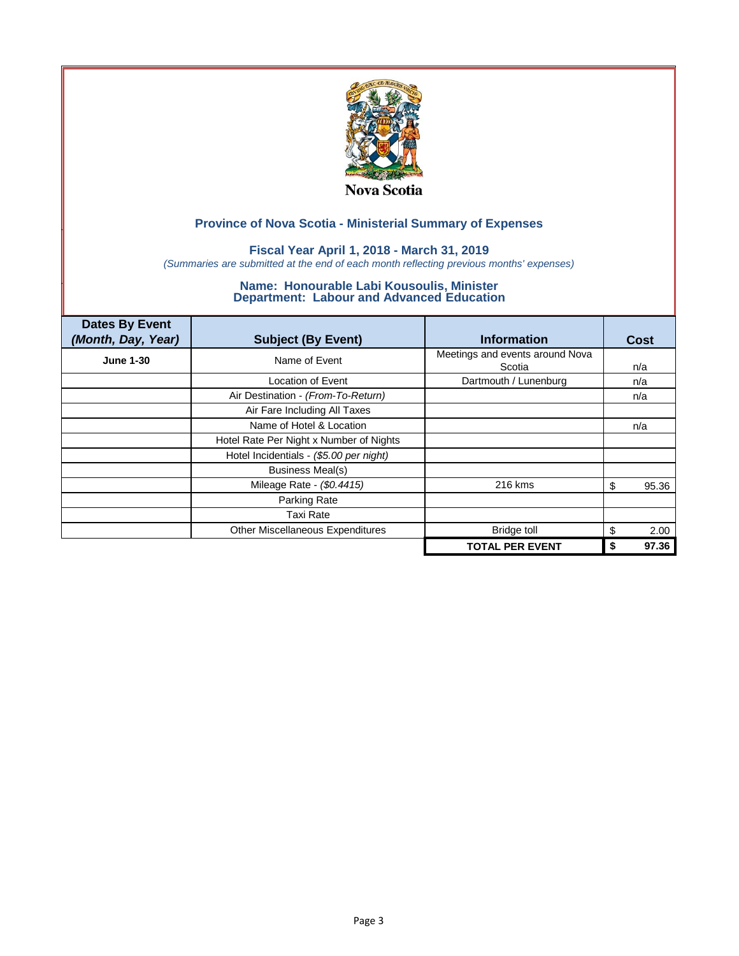

## **Fiscal Year April 1, 2018 - March 31, 2019**

*(Summaries are submitted at the end of each month reflecting previous months' expenses)*

| <b>Dates By Event</b><br>(Month, Day, Year) | <b>Subject (By Event)</b>               | <b>Information</b>                        | Cost       |
|---------------------------------------------|-----------------------------------------|-------------------------------------------|------------|
| <b>June 1-30</b>                            | Name of Event                           | Meetings and events around Nova<br>Scotia | n/a        |
|                                             | Location of Event                       | Dartmouth / Lunenburg                     | n/a        |
|                                             | Air Destination - (From-To-Return)      |                                           | n/a        |
|                                             | Air Fare Including All Taxes            |                                           |            |
|                                             | Name of Hotel & Location                |                                           | n/a        |
|                                             | Hotel Rate Per Night x Number of Nights |                                           |            |
|                                             | Hotel Incidentials - (\$5.00 per night) |                                           |            |
|                                             | <b>Business Meal(s)</b>                 |                                           |            |
|                                             | Mileage Rate - (\$0.4415)               | 216 kms                                   | 95.36<br>S |
|                                             | Parking Rate                            |                                           |            |
|                                             | Taxi Rate                               |                                           |            |
|                                             | Other Miscellaneous Expenditures        | <b>Bridge toll</b>                        | 2.00<br>S  |
|                                             |                                         | <b>TOTAL PER EVENT</b>                    | 97.36      |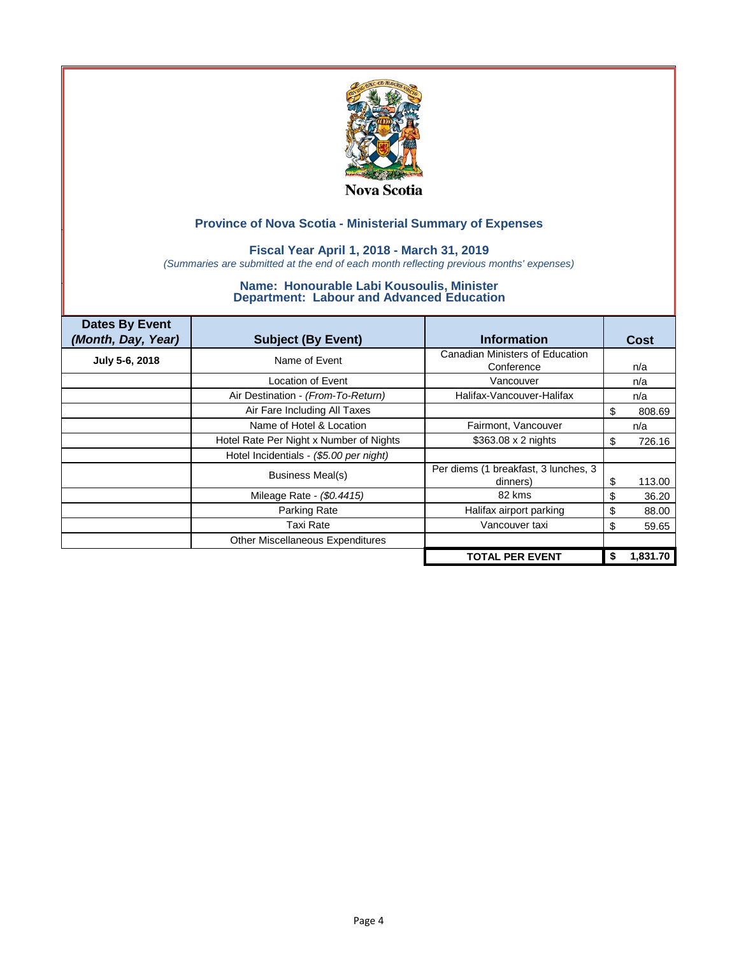

### **Fiscal Year April 1, 2018 - March 31, 2019**

*(Summaries are submitted at the end of each month reflecting previous months' expenses)*

| <b>Dates By Event</b><br>(Month, Day, Year) | <b>Subject (By Event)</b>               | <b>Information</b>                               |    | <b>Cost</b> |
|---------------------------------------------|-----------------------------------------|--------------------------------------------------|----|-------------|
| July 5-6, 2018                              | Name of Event                           | Canadian Ministers of Education<br>Conference    |    | n/a         |
|                                             | Location of Event                       | Vancouver                                        |    | n/a         |
|                                             | Air Destination - (From-To-Return)      | Halifax-Vancouver-Halifax                        |    | n/a         |
|                                             | Air Fare Including All Taxes            |                                                  | \$ | 808.69      |
|                                             | Name of Hotel & Location                | Fairmont, Vancouver                              |    | n/a         |
|                                             | Hotel Rate Per Night x Number of Nights | \$363.08 x 2 nights                              | \$ | 726.16      |
|                                             | Hotel Incidentials - (\$5.00 per night) |                                                  |    |             |
|                                             | <b>Business Meal(s)</b>                 | Per diems (1 breakfast, 3 lunches, 3<br>dinners) | S  | 113.00      |
|                                             | Mileage Rate - (\$0.4415)               | 82 kms                                           | \$ | 36.20       |
|                                             | Parking Rate                            | Halifax airport parking                          | \$ | 88.00       |
|                                             | Taxi Rate                               | Vancouver taxi                                   | \$ | 59.65       |
|                                             | Other Miscellaneous Expenditures        |                                                  |    |             |
|                                             |                                         | <b>TOTAL PER EVENT</b>                           | \$ | 1,831.70    |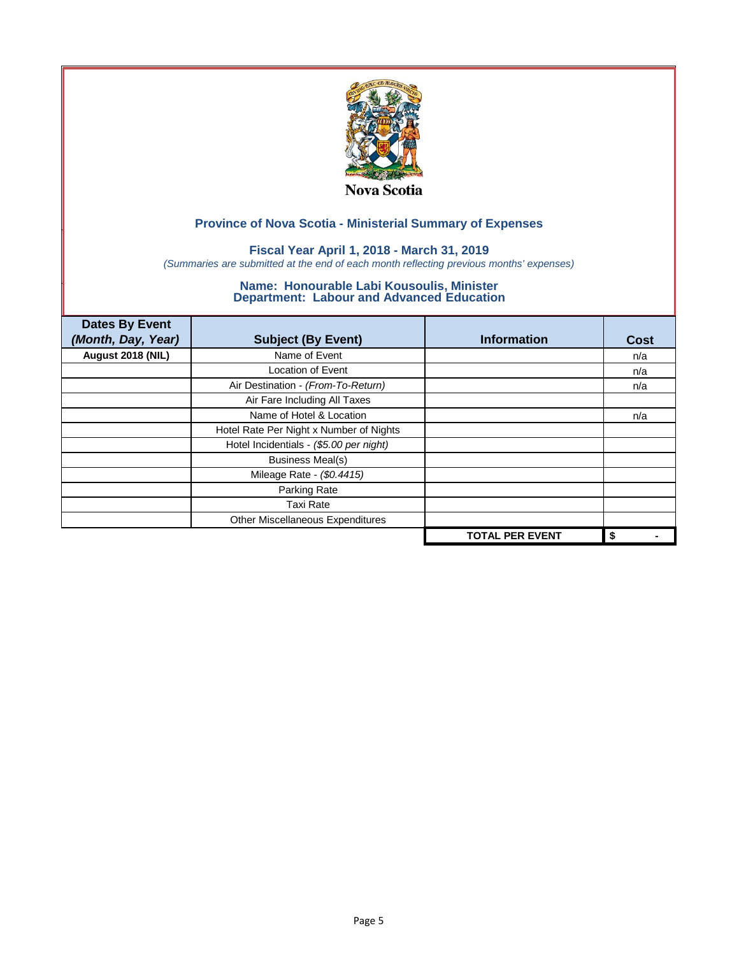

## **Fiscal Year April 1, 2018 - March 31, 2019**

*(Summaries are submitted at the end of each month reflecting previous months' expenses)*

| <b>Dates By Event</b><br>(Month, Day, Year) | <b>Subject (By Event)</b>               | <b>Information</b>     | <b>Cost</b> |
|---------------------------------------------|-----------------------------------------|------------------------|-------------|
| August 2018 (NIL)                           | Name of Event                           |                        | n/a         |
|                                             | Location of Event                       |                        | n/a         |
|                                             | Air Destination - (From-To-Return)      |                        | n/a         |
|                                             | Air Fare Including All Taxes            |                        |             |
|                                             | Name of Hotel & Location                |                        | n/a         |
|                                             | Hotel Rate Per Night x Number of Nights |                        |             |
|                                             | Hotel Incidentials - (\$5.00 per night) |                        |             |
|                                             | <b>Business Meal(s)</b>                 |                        |             |
|                                             | Mileage Rate - (\$0.4415)               |                        |             |
|                                             | Parking Rate                            |                        |             |
|                                             | <b>Taxi Rate</b>                        |                        |             |
|                                             | Other Miscellaneous Expenditures        |                        |             |
|                                             |                                         | <b>TOTAL PER EVENT</b> | \$          |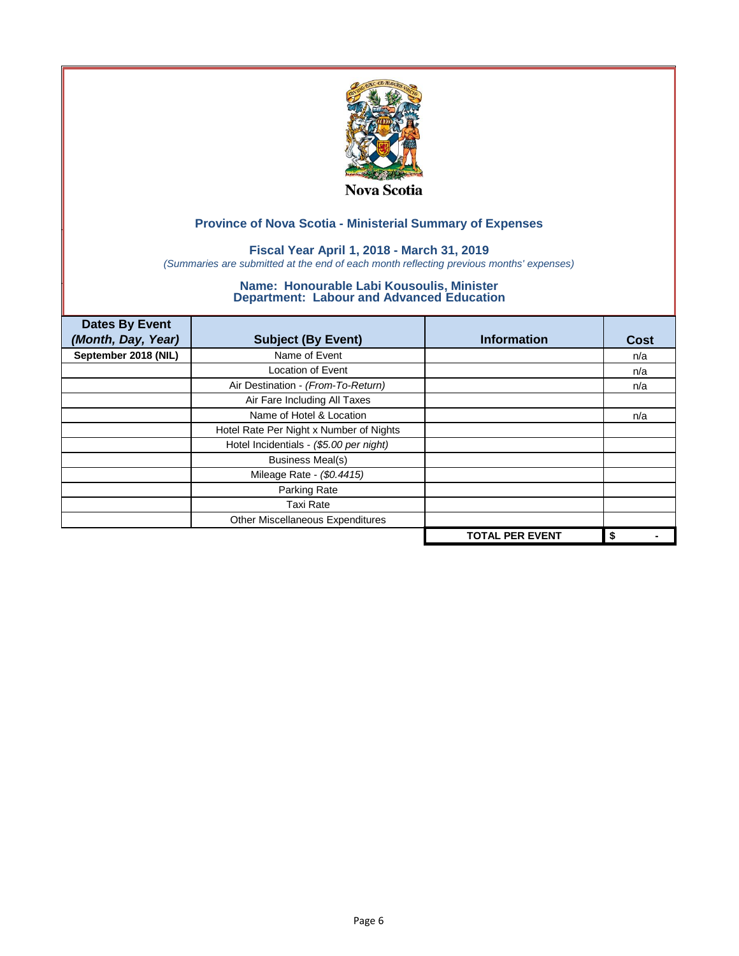

## **Fiscal Year April 1, 2018 - March 31, 2019**

*(Summaries are submitted at the end of each month reflecting previous months' expenses)*

| <b>Dates By Event</b><br>(Month, Day, Year) | <b>Subject (By Event)</b>               | <b>Information</b>     | <b>Cost</b> |
|---------------------------------------------|-----------------------------------------|------------------------|-------------|
| September 2018 (NIL)                        | Name of Event                           |                        | n/a         |
|                                             | <b>Location of Event</b>                |                        | n/a         |
|                                             | Air Destination - (From-To-Return)      |                        | n/a         |
|                                             | Air Fare Including All Taxes            |                        |             |
|                                             | Name of Hotel & Location                |                        | n/a         |
|                                             | Hotel Rate Per Night x Number of Nights |                        |             |
|                                             | Hotel Incidentials - (\$5.00 per night) |                        |             |
|                                             | <b>Business Meal(s)</b>                 |                        |             |
|                                             | Mileage Rate - (\$0.4415)               |                        |             |
|                                             | Parking Rate                            |                        |             |
|                                             | <b>Taxi Rate</b>                        |                        |             |
|                                             | Other Miscellaneous Expenditures        |                        |             |
|                                             |                                         | <b>TOTAL PER EVENT</b> | \$          |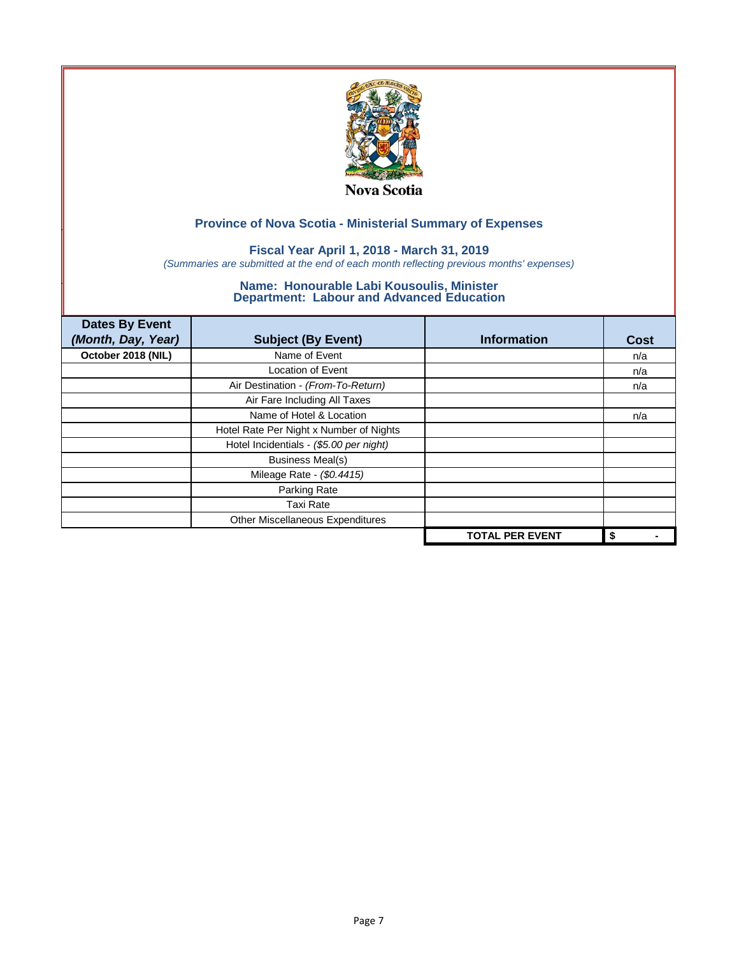

## **Fiscal Year April 1, 2018 - March 31, 2019**

*(Summaries are submitted at the end of each month reflecting previous months' expenses)*

| <b>Dates By Event</b><br>(Month, Day, Year) | <b>Subject (By Event)</b>               | <b>Information</b>     | <b>Cost</b> |
|---------------------------------------------|-----------------------------------------|------------------------|-------------|
| October 2018 (NIL)                          | Name of Event                           |                        | n/a         |
|                                             | Location of Event                       |                        | n/a         |
|                                             | Air Destination - (From-To-Return)      |                        | n/a         |
|                                             | Air Fare Including All Taxes            |                        |             |
|                                             | Name of Hotel & Location                |                        | n/a         |
|                                             | Hotel Rate Per Night x Number of Nights |                        |             |
|                                             | Hotel Incidentials - (\$5.00 per night) |                        |             |
|                                             | <b>Business Meal(s)</b>                 |                        |             |
|                                             | Mileage Rate - (\$0.4415)               |                        |             |
|                                             | Parking Rate                            |                        |             |
|                                             | <b>Taxi Rate</b>                        |                        |             |
|                                             | Other Miscellaneous Expenditures        |                        |             |
|                                             |                                         | <b>TOTAL PER EVENT</b> | \$          |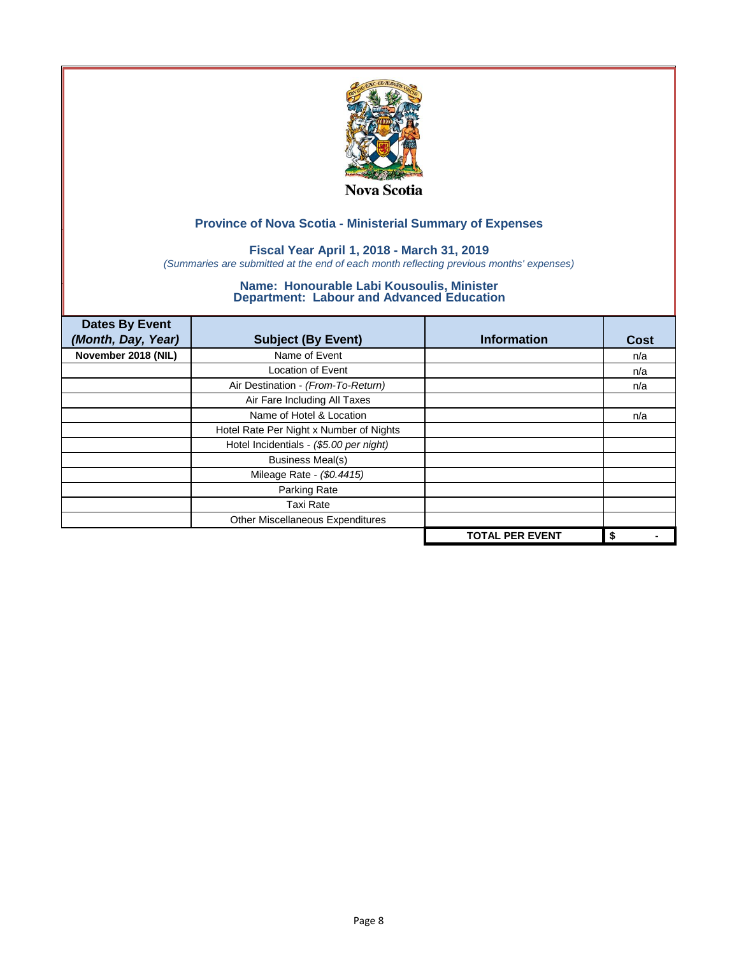

## **Fiscal Year April 1, 2018 - March 31, 2019**

*(Summaries are submitted at the end of each month reflecting previous months' expenses)*

| <b>Dates By Event</b><br>(Month, Day, Year) | <b>Subject (By Event)</b>               | <b>Information</b>     | <b>Cost</b> |
|---------------------------------------------|-----------------------------------------|------------------------|-------------|
| November 2018 (NIL)                         | Name of Event                           |                        | n/a         |
|                                             | <b>Location of Event</b>                |                        | n/a         |
|                                             | Air Destination - (From-To-Return)      |                        | n/a         |
|                                             | Air Fare Including All Taxes            |                        |             |
|                                             | Name of Hotel & Location                |                        | n/a         |
|                                             | Hotel Rate Per Night x Number of Nights |                        |             |
|                                             | Hotel Incidentials - (\$5.00 per night) |                        |             |
|                                             | <b>Business Meal(s)</b>                 |                        |             |
|                                             | Mileage Rate - (\$0.4415)               |                        |             |
|                                             | Parking Rate                            |                        |             |
|                                             | <b>Taxi Rate</b>                        |                        |             |
|                                             | Other Miscellaneous Expenditures        |                        |             |
|                                             |                                         | <b>TOTAL PER EVENT</b> | \$          |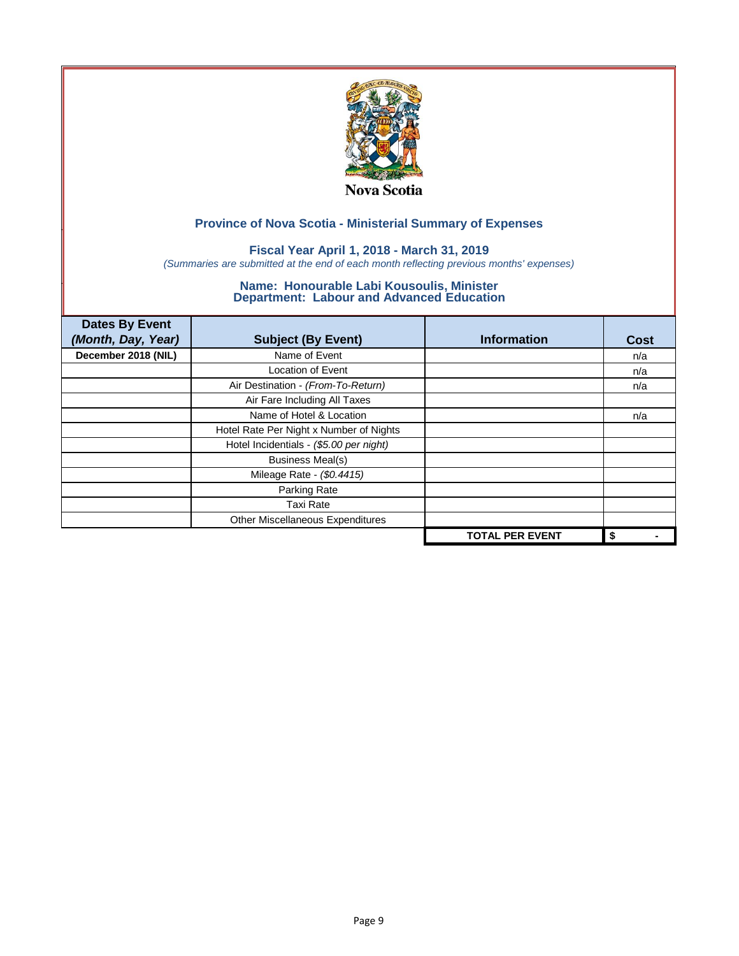

## **Fiscal Year April 1, 2018 - March 31, 2019**

*(Summaries are submitted at the end of each month reflecting previous months' expenses)*

| <b>Dates By Event</b><br>(Month, Day, Year) | <b>Subject (By Event)</b>               | <b>Information</b>     | <b>Cost</b> |
|---------------------------------------------|-----------------------------------------|------------------------|-------------|
| December 2018 (NIL)                         | Name of Event                           |                        | n/a         |
|                                             | Location of Event                       |                        | n/a         |
|                                             | Air Destination - (From-To-Return)      |                        | n/a         |
|                                             | Air Fare Including All Taxes            |                        |             |
|                                             | Name of Hotel & Location                |                        | n/a         |
|                                             | Hotel Rate Per Night x Number of Nights |                        |             |
|                                             | Hotel Incidentials - (\$5.00 per night) |                        |             |
|                                             | <b>Business Meal(s)</b>                 |                        |             |
|                                             | Mileage Rate - (\$0.4415)               |                        |             |
|                                             | Parking Rate                            |                        |             |
|                                             | <b>Taxi Rate</b>                        |                        |             |
|                                             | Other Miscellaneous Expenditures        |                        |             |
|                                             |                                         | <b>TOTAL PER EVENT</b> | \$          |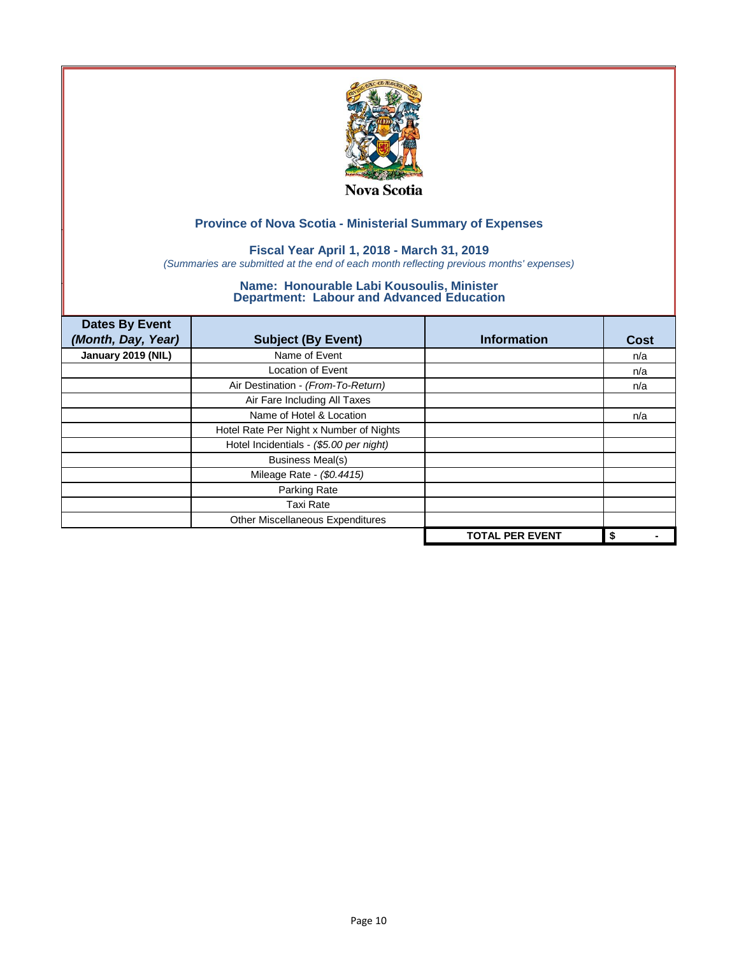

## **Fiscal Year April 1, 2018 - March 31, 2019**

*(Summaries are submitted at the end of each month reflecting previous months' expenses)*

| <b>Dates By Event</b> |                                         |                        |             |
|-----------------------|-----------------------------------------|------------------------|-------------|
| (Month, Day, Year)    | <b>Subject (By Event)</b>               | <b>Information</b>     | <b>Cost</b> |
| January 2019 (NIL)    | Name of Event                           |                        | n/a         |
|                       | <b>Location of Event</b>                |                        | n/a         |
|                       | Air Destination - (From-To-Return)      |                        | n/a         |
|                       | Air Fare Including All Taxes            |                        |             |
|                       | Name of Hotel & Location                |                        | n/a         |
|                       | Hotel Rate Per Night x Number of Nights |                        |             |
|                       | Hotel Incidentials - (\$5.00 per night) |                        |             |
|                       | <b>Business Meal(s)</b>                 |                        |             |
|                       | Mileage Rate - (\$0.4415)               |                        |             |
|                       | Parking Rate                            |                        |             |
|                       | <b>Taxi Rate</b>                        |                        |             |
|                       | Other Miscellaneous Expenditures        |                        |             |
|                       |                                         | <b>TOTAL PER EVENT</b> | \$          |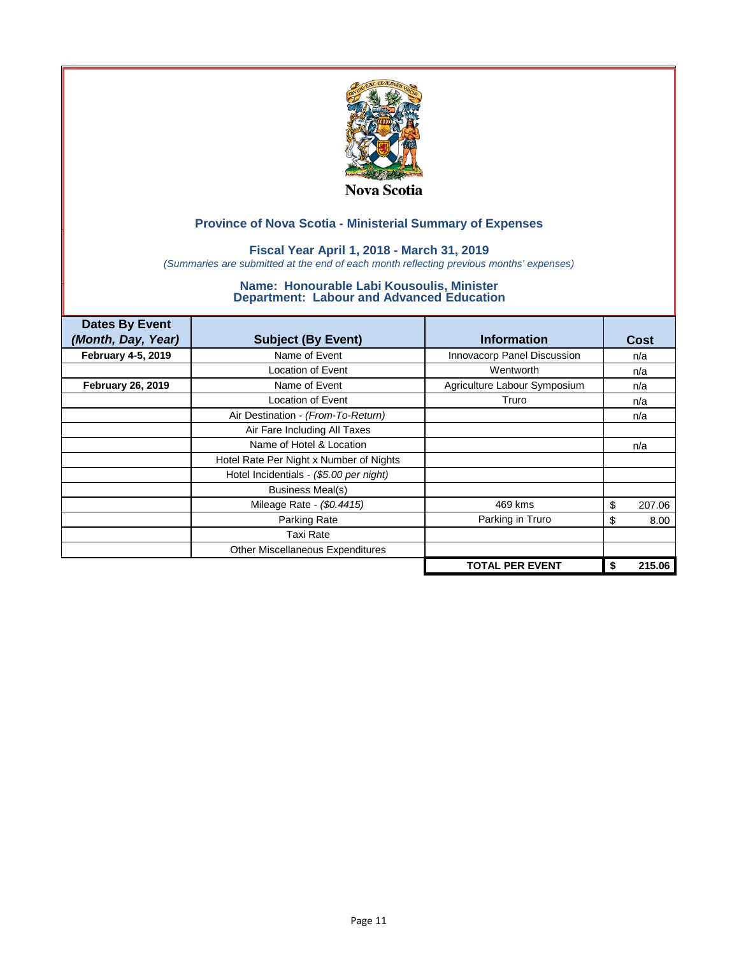

### **Fiscal Year April 1, 2018 - March 31, 2019**

*(Summaries are submitted at the end of each month reflecting previous months' expenses)*

| <b>Dates By Event</b>    |                                         |                              |    |             |
|--------------------------|-----------------------------------------|------------------------------|----|-------------|
| (Month, Day, Year)       | <b>Subject (By Event)</b>               | <b>Information</b>           |    | <b>Cost</b> |
| February 4-5, 2019       | Name of Event                           | Innovacorp Panel Discussion  |    | n/a         |
|                          | <b>Location of Event</b>                | Wentworth                    |    | n/a         |
| <b>February 26, 2019</b> | Name of Event                           | Agriculture Labour Symposium |    | n/a         |
|                          | <b>Location of Event</b>                | Truro                        |    | n/a         |
|                          | Air Destination - (From-To-Return)      |                              |    | n/a         |
|                          | Air Fare Including All Taxes            |                              |    |             |
|                          | Name of Hotel & Location                |                              |    | n/a         |
|                          | Hotel Rate Per Night x Number of Nights |                              |    |             |
|                          | Hotel Incidentials - (\$5.00 per night) |                              |    |             |
|                          | <b>Business Meal(s)</b>                 |                              |    |             |
|                          | Mileage Rate - (\$0.4415)               | 469 kms                      | \$ | 207.06      |
|                          | Parking Rate                            | Parking in Truro             | \$ | 8.00        |
|                          | Taxi Rate                               |                              |    |             |
|                          | Other Miscellaneous Expenditures        |                              |    |             |
|                          |                                         | <b>TOTAL PER EVENT</b>       | S  | 215.06      |